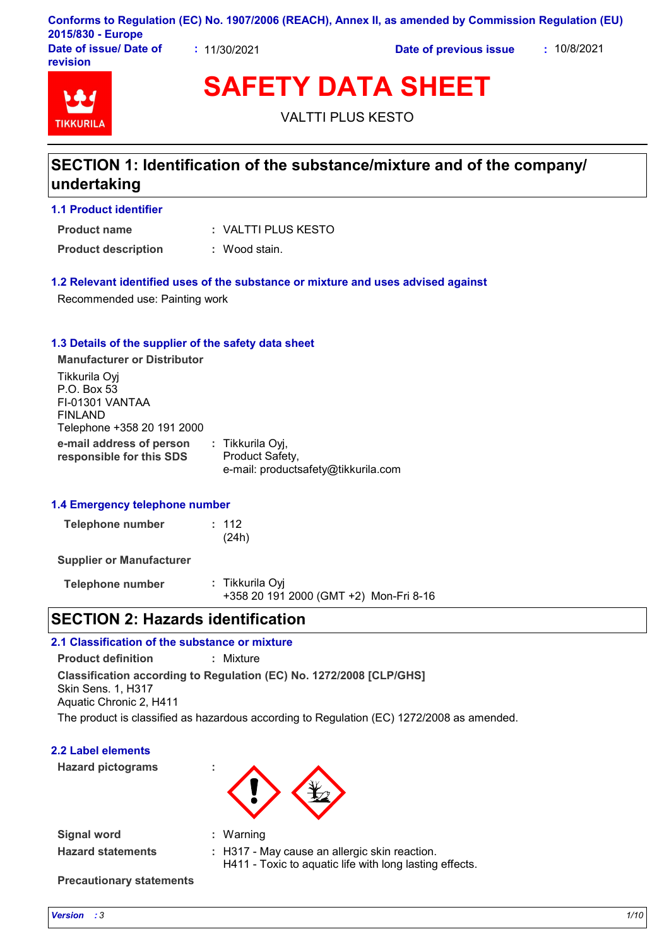| 2015/830 - Europe                  |              | Conforms to Regulation (EC) No. 1907/2006 (REACH), Annex II, as amended by Commission Regulation (EU) |             |
|------------------------------------|--------------|-------------------------------------------------------------------------------------------------------|-------------|
| Date of issue/ Date of<br>revision | : 11/30/2021 | Date of previous issue                                                                                | : 10/8/2021 |

# **TIKKURIL**

**SAFETY DATA SHEET**

VALTTI PLUS KESTO

## **SECTION 1: Identification of the substance/mixture and of the company/ undertaking**

## **1.1 Product identifier**

VALTTI PLUS KESTO **: Product name**

**Product description :** Wood stain.

## **1.2 Relevant identified uses of the substance or mixture and uses advised against**

Recommended use: Painting work

## **1.3 Details of the supplier of the safety data sheet**

**e-mail address of person responsible for this SDS :** Tikkurila Oyj, Product Safety, e-mail: productsafety@tikkurila.com **Manufacturer or Distributor** Tikkurila Oyj P.O. Box 53 FI-01301 VANTAA FINLAND Telephone +358 20 191 2000

## **1.4 Emergency telephone number**

| <b>Telephone number</b> | : 112 |
|-------------------------|-------|
|                         | (24h) |

**Supplier or Manufacturer**

**Telephone number :** Tikkurila Oyj +358 20 191 2000 (GMT +2) Mon-Fri 8-16

## **SECTION 2: Hazards identification**

## **2.1 Classification of the substance or mixture**

**Classification according to Regulation (EC) No. 1272/2008 [CLP/GHS] Product definition :** Mixture Skin Sens. 1, H317 Aquatic Chronic 2, H411

The product is classified as hazardous according to Regulation (EC) 1272/2008 as amended.

## **2.2 Label elements**

**Hazard pictograms :**



**Signal word : Hazard statements :** Warning H317 - May cause an allergic skin reaction. H411 - Toxic to aquatic life with long lasting effects.

**Precautionary statements**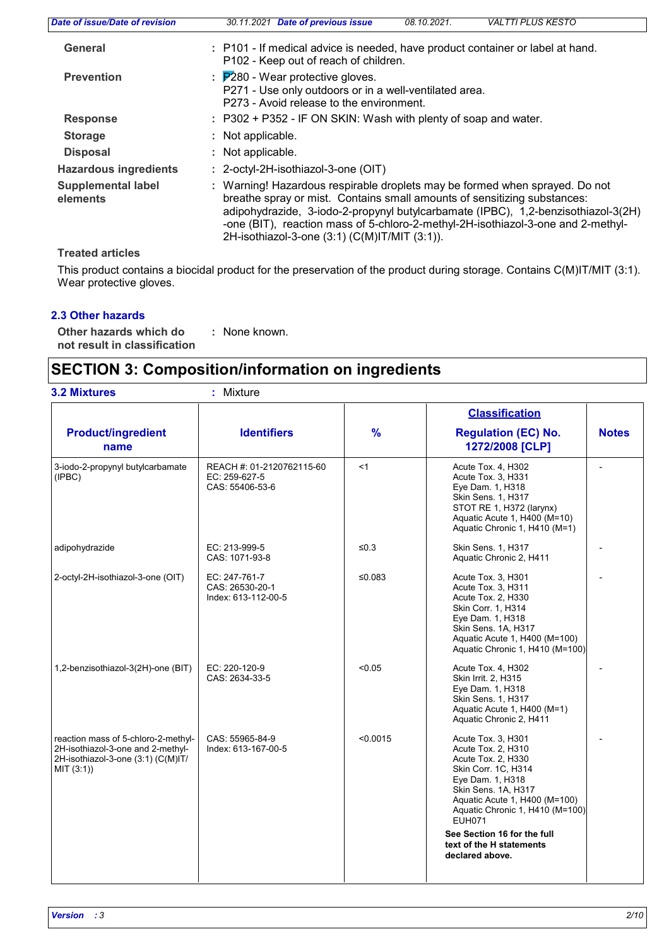| Date of issue/Date of revision        | 30.11.2021 Date of previous issue                                                                                                                                                                        | 08.10.2021. | <b>VALTTI PLUS KESTO</b>                                                                                                                                              |
|---------------------------------------|----------------------------------------------------------------------------------------------------------------------------------------------------------------------------------------------------------|-------------|-----------------------------------------------------------------------------------------------------------------------------------------------------------------------|
| General                               | : P101 - If medical advice is needed, have product container or label at hand.<br>P102 - Keep out of reach of children.                                                                                  |             |                                                                                                                                                                       |
| <b>Prevention</b>                     | $\therefore$ $\overline{P280}$ - Wear protective gloves.<br>P271 - Use only outdoors or in a well-ventilated area.<br>P273 - Avoid release to the environment.                                           |             |                                                                                                                                                                       |
| <b>Response</b>                       | : P302 + P352 - IF ON SKIN: Wash with plenty of soap and water.                                                                                                                                          |             |                                                                                                                                                                       |
| <b>Storage</b>                        | : Not applicable.                                                                                                                                                                                        |             |                                                                                                                                                                       |
| <b>Disposal</b>                       | : Not applicable.                                                                                                                                                                                        |             |                                                                                                                                                                       |
| <b>Hazardous ingredients</b>          | : 2-octyl-2H-isothiazol-3-one (OIT)                                                                                                                                                                      |             |                                                                                                                                                                       |
| <b>Supplemental label</b><br>elements | : Warning! Hazardous respirable droplets may be formed when sprayed. Do not<br>breathe spray or mist. Contains small amounts of sensitizing substances:<br>2H-isothiazol-3-one (3:1) (C(M)IT/MIT (3:1)). |             | adipohydrazide, 3-iodo-2-propynyl butylcarbamate (IPBC), 1,2-benzisothiazol-3(2H)<br>-one (BIT), reaction mass of 5-chloro-2-methyl-2H-isothiazol-3-one and 2-methyl- |
|                                       |                                                                                                                                                                                                          |             |                                                                                                                                                                       |

**Treated articles**

This product contains a biocidal product for the preservation of the product during storage. Contains C(M)IT/MIT (3:1). Wear protective gloves.

## **2.3 Other hazards**

**Other hazards which do : not result in classification** : None known.

## **SECTION 3: Composition/information on ingredients**

|                                                                                                                              |                                                               |               | <b>Classification</b>                                                                                                                                                                                                                                                                               |              |
|------------------------------------------------------------------------------------------------------------------------------|---------------------------------------------------------------|---------------|-----------------------------------------------------------------------------------------------------------------------------------------------------------------------------------------------------------------------------------------------------------------------------------------------------|--------------|
| <b>Product/ingredient</b><br>name                                                                                            | <b>Identifiers</b>                                            | $\frac{9}{6}$ | <b>Regulation (EC) No.</b><br>1272/2008 [CLP]                                                                                                                                                                                                                                                       | <b>Notes</b> |
| 3-iodo-2-propynyl butylcarbamate<br>(IPBC)                                                                                   | REACH #: 01-2120762115-60<br>EC: 259-627-5<br>CAS: 55406-53-6 | <1            | Acute Tox. 4, H302<br>Acute Tox. 3, H331<br>Eye Dam. 1, H318<br>Skin Sens. 1, H317<br>STOT RE 1, H372 (larynx)<br>Aquatic Acute 1, H400 (M=10)<br>Aquatic Chronic 1, H410 (M=1)                                                                                                                     |              |
| adipohydrazide                                                                                                               | EC: 213-999-5<br>CAS: 1071-93-8                               | $≤0.3$        | Skin Sens. 1, H317<br>Aquatic Chronic 2, H411                                                                                                                                                                                                                                                       |              |
| 2-octyl-2H-isothiazol-3-one (OIT)                                                                                            | EC: 247-761-7<br>CAS: 26530-20-1<br>Index: 613-112-00-5       | ≤0.083        | Acute Tox. 3, H301<br>Acute Tox. 3, H311<br>Acute Tox. 2, H330<br>Skin Corr. 1, H314<br>Eye Dam. 1, H318<br>Skin Sens. 1A, H317<br>Aquatic Acute 1, H400 (M=100)<br>Aquatic Chronic 1, H410 (M=100)                                                                                                 |              |
| 1,2-benzisothiazol-3(2H)-one (BIT)                                                                                           | EC: 220-120-9<br>CAS: 2634-33-5                               | < 0.05        | Acute Tox. 4, H302<br>Skin Irrit. 2, H315<br>Eye Dam. 1, H318<br>Skin Sens. 1, H317<br>Aquatic Acute 1, H400 (M=1)<br>Aquatic Chronic 2, H411                                                                                                                                                       |              |
| reaction mass of 5-chloro-2-methyl-<br>2H-isothiazol-3-one and 2-methyl-<br>2H-isothiazol-3-one (3:1) (C(M)IT/<br>MIT (3:1)) | CAS: 55965-84-9<br>Index: 613-167-00-5                        | < 0.0015      | Acute Tox. 3, H301<br>Acute Tox. 2, H310<br>Acute Tox. 2, H330<br>Skin Corr. 1C, H314<br>Eye Dam. 1, H318<br>Skin Sens. 1A, H317<br>Aquatic Acute 1, H400 (M=100)<br>Aquatic Chronic 1, H410 (M=100)<br><b>EUH071</b><br>See Section 16 for the full<br>text of the H statements<br>declared above. |              |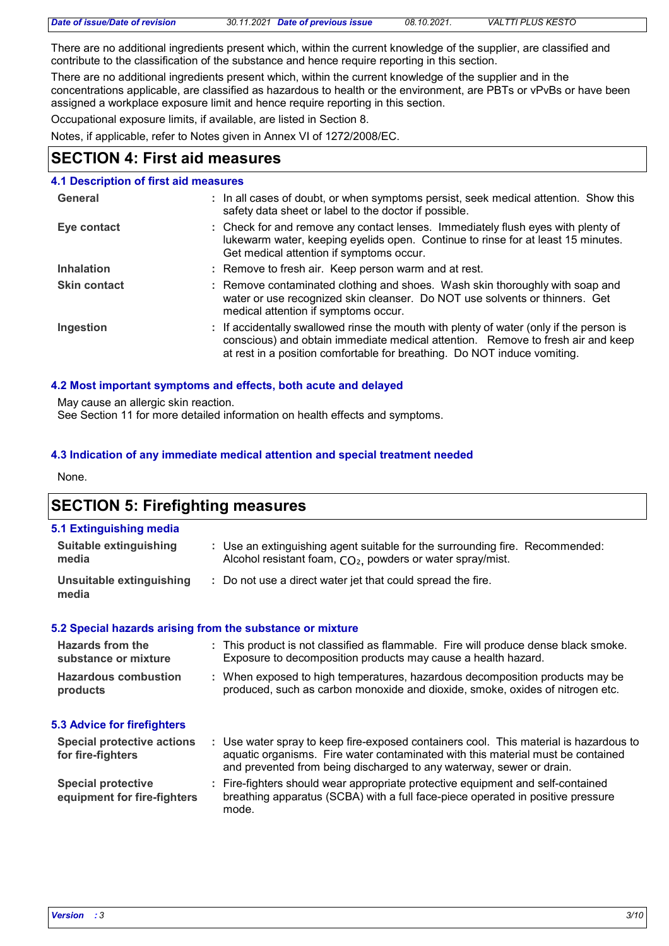| Date of issue/Date of revision | 30.11.2021 Date of previous issue | 08.10.2021. | <b>VALTTI PLUS KESTO</b> |
|--------------------------------|-----------------------------------|-------------|--------------------------|
|                                |                                   |             |                          |

There are no additional ingredients present which, within the current knowledge of the supplier, are classified and contribute to the classification of the substance and hence require reporting in this section.

There are no additional ingredients present which, within the current knowledge of the supplier and in the concentrations applicable, are classified as hazardous to health or the environment, are PBTs or vPvBs or have been assigned a workplace exposure limit and hence require reporting in this section.

Occupational exposure limits, if available, are listed in Section 8.

Notes, if applicable, refer to Notes given in Annex VI of 1272/2008/EC.

## **SECTION 4: First aid measures**

## **4.1 Description of first aid measures**

| General             | : In all cases of doubt, or when symptoms persist, seek medical attention. Show this<br>safety data sheet or label to the doctor if possible.                                                                                                          |
|---------------------|--------------------------------------------------------------------------------------------------------------------------------------------------------------------------------------------------------------------------------------------------------|
| Eye contact         | : Check for and remove any contact lenses. Immediately flush eyes with plenty of<br>lukewarm water, keeping eyelids open. Continue to rinse for at least 15 minutes.<br>Get medical attention if symptoms occur.                                       |
| <b>Inhalation</b>   | : Remove to fresh air. Keep person warm and at rest.                                                                                                                                                                                                   |
| <b>Skin contact</b> | : Remove contaminated clothing and shoes. Wash skin thoroughly with soap and<br>water or use recognized skin cleanser. Do NOT use solvents or thinners. Get<br>medical attention if symptoms occur.                                                    |
| Ingestion           | : If accidentally swallowed rinse the mouth with plenty of water (only if the person is<br>conscious) and obtain immediate medical attention. Remove to fresh air and keep<br>at rest in a position comfortable for breathing. Do NOT induce vomiting. |

## **4.2 Most important symptoms and effects, both acute and delayed**

May cause an allergic skin reaction.

See Section 11 for more detailed information on health effects and symptoms.

## **4.3 Indication of any immediate medical attention and special treatment needed**

None.

## **SECTION 5: Firefighting measures**

| 5.1 Extinguishing media           |                                                                                                                                                        |
|-----------------------------------|--------------------------------------------------------------------------------------------------------------------------------------------------------|
| Suitable extinguishing<br>media   | : Use an extinguishing agent suitable for the surrounding fire. Recommended:<br>Alcohol resistant foam, CO <sub>2</sub> , powders or water spray/mist. |
| Unsuitable extinguishing<br>media | Do not use a direct water jet that could spread the fire.                                                                                              |

## **5.2 Special hazards arising from the substance or mixture**

| Hazards from the<br>substance or mixture                 | : This product is not classified as flammable. Fire will produce dense black smoke.<br>Exposure to decomposition products may cause a health hazard.                                                                                             |
|----------------------------------------------------------|--------------------------------------------------------------------------------------------------------------------------------------------------------------------------------------------------------------------------------------------------|
| <b>Hazardous combustion</b><br>products                  | : When exposed to high temperatures, hazardous decomposition products may be<br>produced, such as carbon monoxide and dioxide, smoke, oxides of nitrogen etc.                                                                                    |
| 5.3 Advice for firefighters                              |                                                                                                                                                                                                                                                  |
| <b>Special protective actions</b><br>for fire-fighters   | : Use water spray to keep fire-exposed containers cool. This material is hazardous to<br>aquatic organisms. Fire water contaminated with this material must be contained<br>and prevented from being discharged to any waterway, sewer or drain. |
| <b>Special protective</b><br>equipment for fire-fighters | : Fire-fighters should wear appropriate protective equipment and self-contained<br>breathing apparatus (SCBA) with a full face-piece operated in positive pressure<br>mode.                                                                      |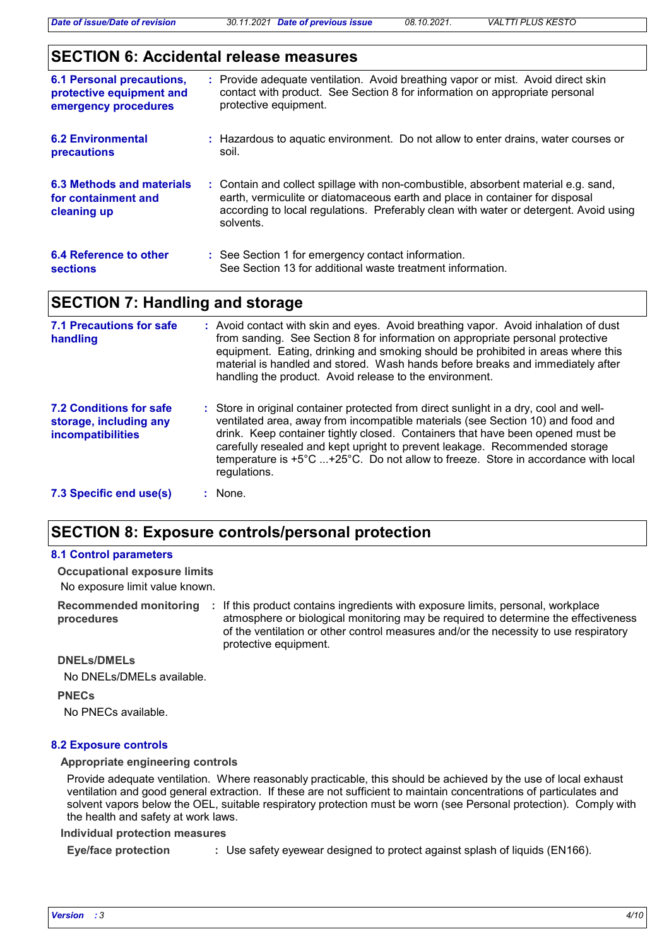## **SECTION 6: Accidental release measures**

| <b>6.1 Personal precautions,</b><br>protective equipment and<br>emergency procedures | : Provide adequate ventilation. Avoid breathing vapor or mist. Avoid direct skin<br>contact with product. See Section 8 for information on appropriate personal<br>protective equipment.                                                                                 |
|--------------------------------------------------------------------------------------|--------------------------------------------------------------------------------------------------------------------------------------------------------------------------------------------------------------------------------------------------------------------------|
| <b>6.2 Environmental</b><br><b>precautions</b>                                       | : Hazardous to aquatic environment. Do not allow to enter drains, water courses or<br>soil.                                                                                                                                                                              |
| 6.3 Methods and materials<br>for containment and<br>cleaning up                      | : Contain and collect spillage with non-combustible, absorbent material e.g. sand,<br>earth, vermiculite or diatomaceous earth and place in container for disposal<br>according to local regulations. Preferably clean with water or detergent. Avoid using<br>solvents. |
| 6.4 Reference to other<br><b>sections</b>                                            | : See Section 1 for emergency contact information.<br>See Section 13 for additional waste treatment information.                                                                                                                                                         |

## **SECTION 7: Handling and storage**

| <b>7.1 Precautions for safe</b><br>handling                                   | : Avoid contact with skin and eyes. Avoid breathing vapor. Avoid inhalation of dust<br>from sanding. See Section 8 for information on appropriate personal protective<br>equipment. Eating, drinking and smoking should be prohibited in areas where this<br>material is handled and stored. Wash hands before breaks and immediately after<br>handling the product. Avoid release to the environment.                                         |
|-------------------------------------------------------------------------------|------------------------------------------------------------------------------------------------------------------------------------------------------------------------------------------------------------------------------------------------------------------------------------------------------------------------------------------------------------------------------------------------------------------------------------------------|
| <b>7.2 Conditions for safe</b><br>storage, including any<br>incompatibilities | : Store in original container protected from direct sunlight in a dry, cool and well-<br>ventilated area, away from incompatible materials (see Section 10) and food and<br>drink. Keep container tightly closed. Containers that have been opened must be<br>carefully resealed and kept upright to prevent leakage. Recommended storage<br>temperature is +5°C +25°C. Do not allow to freeze. Store in accordance with local<br>regulations. |
| 7.3 Specific end use(s)                                                       | : None.                                                                                                                                                                                                                                                                                                                                                                                                                                        |

## **SECTION 8: Exposure controls/personal protection**

#### **8.1 Control parameters**

No exposure limit value known. **Occupational exposure limits**

**Recommended monitoring**  If this product contains ingredients with exposure limits, personal, workplace **: procedures** atmosphere or biological monitoring may be required to determine the effectiveness of the ventilation or other control measures and/or the necessity to use respiratory protective equipment.

**DNELs/DMELs**

No DNELs/DMELs available.

**PNECs**

No PNECs available.

#### **8.2 Exposure controls**

#### **Appropriate engineering controls**

Provide adequate ventilation. Where reasonably practicable, this should be achieved by the use of local exhaust ventilation and good general extraction. If these are not sufficient to maintain concentrations of particulates and solvent vapors below the OEL, suitable respiratory protection must be worn (see Personal protection). Comply with the health and safety at work laws.

#### **Individual protection measures**

**Eye/face protection :** Use safety eyewear designed to protect against splash of liquids (EN166).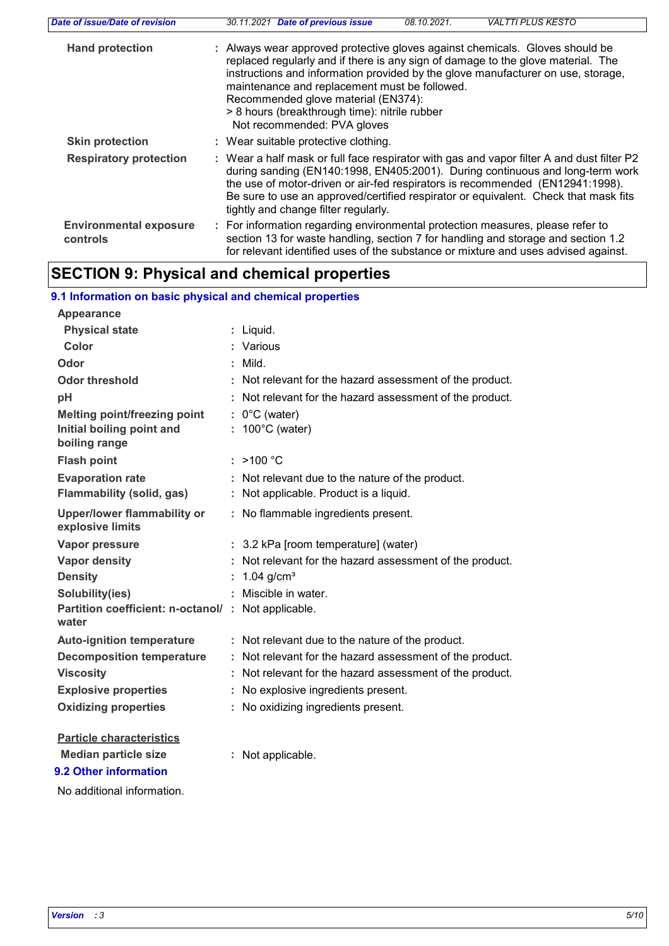| Date of issue/Date of revision            | <b>VALTTI PLUS KESTO</b><br>30.11.2021 Date of previous issue<br>08.10.2021.                                                                                                                                                                                                                                                                                                                                                 |
|-------------------------------------------|------------------------------------------------------------------------------------------------------------------------------------------------------------------------------------------------------------------------------------------------------------------------------------------------------------------------------------------------------------------------------------------------------------------------------|
| <b>Hand protection</b>                    | : Always wear approved protective gloves against chemicals. Gloves should be<br>replaced regularly and if there is any sign of damage to the glove material. The<br>instructions and information provided by the glove manufacturer on use, storage,<br>maintenance and replacement must be followed.<br>Recommended glove material (EN374):<br>> 8 hours (breakthrough time): nitrile rubber<br>Not recommended: PVA gloves |
| <b>Skin protection</b>                    | : Wear suitable protective clothing.                                                                                                                                                                                                                                                                                                                                                                                         |
| <b>Respiratory protection</b>             | : Wear a half mask or full face respirator with gas and vapor filter A and dust filter P2<br>during sanding (EN140:1998, EN405:2001). During continuous and long-term work<br>the use of motor-driven or air-fed respirators is recommended (EN12941:1998).<br>Be sure to use an approved/certified respirator or equivalent. Check that mask fits<br>tightly and change filter regularly.                                   |
| <b>Environmental exposure</b><br>controls | : For information regarding environmental protection measures, please refer to<br>section 13 for waste handling, section 7 for handling and storage and section 1.2<br>for relevant identified uses of the substance or mixture and uses advised against.                                                                                                                                                                    |

## **SECTION 9: Physical and chemical properties**

| 9.1 Information on basic physical and chemical properties                         |                                                                                        |
|-----------------------------------------------------------------------------------|----------------------------------------------------------------------------------------|
| <b>Appearance</b>                                                                 |                                                                                        |
| <b>Physical state</b>                                                             | Liquid.                                                                                |
| Color                                                                             | Various                                                                                |
| Odor                                                                              | : Mild.                                                                                |
| <b>Odor threshold</b>                                                             | Not relevant for the hazard assessment of the product.                                 |
| pH                                                                                | Not relevant for the hazard assessment of the product.                                 |
| <b>Melting point/freezing point</b><br>Initial boiling point and<br>boiling range | $0^{\circ}$ C (water)<br>$: 100^{\circ}$ C (water)                                     |
| <b>Flash point</b>                                                                | : $>100 °C$                                                                            |
| <b>Evaporation rate</b><br><b>Flammability (solid, gas)</b>                       | Not relevant due to the nature of the product.<br>Not applicable. Product is a liquid. |
| <b>Upper/lower flammability or</b><br>explosive limits                            | : No flammable ingredients present.                                                    |
| <b>Vapor pressure</b>                                                             | : 3.2 kPa [room temperature] (water)                                                   |
| <b>Vapor density</b>                                                              | Not relevant for the hazard assessment of the product.                                 |
| <b>Density</b>                                                                    | 1.04 $g/cm3$                                                                           |
| Solubility(ies)                                                                   | Miscible in water.                                                                     |
| Partition coefficient: n-octanol/ : Not applicable.<br>water                      |                                                                                        |
| <b>Auto-ignition temperature</b>                                                  | : Not relevant due to the nature of the product.                                       |
| <b>Decomposition temperature</b>                                                  | : Not relevant for the hazard assessment of the product.                               |
| <b>Viscosity</b>                                                                  | : Not relevant for the hazard assessment of the product.                               |
| <b>Explosive properties</b>                                                       | No explosive ingredients present.                                                      |
| <b>Oxidizing properties</b>                                                       | No oxidizing ingredients present.                                                      |
| <b>Particle characteristics</b>                                                   |                                                                                        |
| <b>Median particle size</b>                                                       | Not applicable.                                                                        |
| 9.2 Other information                                                             |                                                                                        |

No additional information.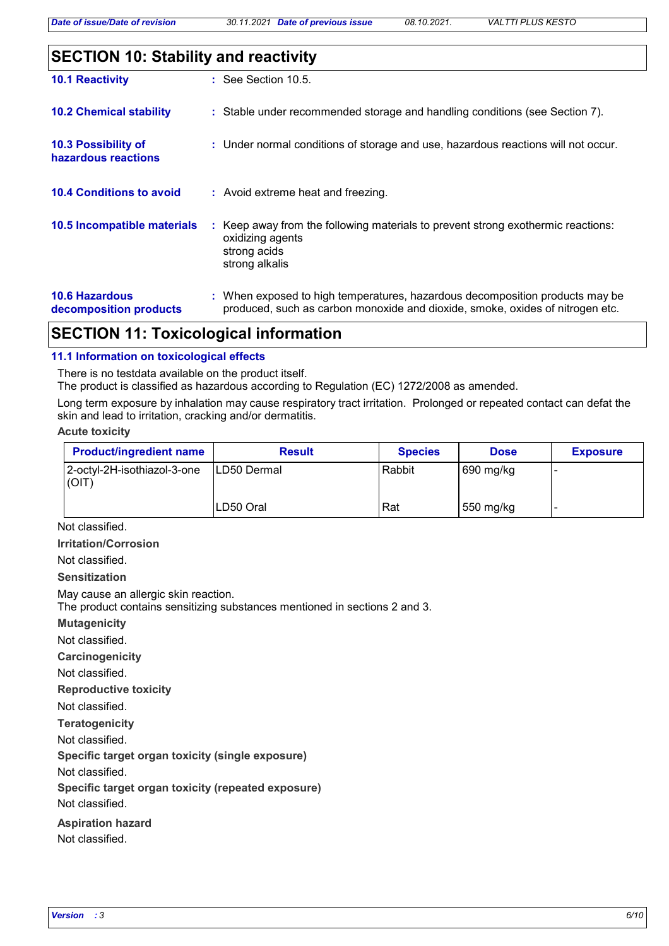| <b>SECTION 10: Stability and reactivity</b>     |                                                                                                                                                               |  |  |
|-------------------------------------------------|---------------------------------------------------------------------------------------------------------------------------------------------------------------|--|--|
| <b>10.1 Reactivity</b>                          | : See Section 10.5.                                                                                                                                           |  |  |
| <b>10.2 Chemical stability</b>                  | : Stable under recommended storage and handling conditions (see Section 7).                                                                                   |  |  |
| 10.3 Possibility of<br>hazardous reactions      | : Under normal conditions of storage and use, hazardous reactions will not occur.                                                                             |  |  |
| <b>10.4 Conditions to avoid</b>                 | : Avoid extreme heat and freezing.                                                                                                                            |  |  |
| 10.5 Incompatible materials                     | : Keep away from the following materials to prevent strong exothermic reactions:<br>oxidizing agents<br>strong acids<br>strong alkalis                        |  |  |
| <b>10.6 Hazardous</b><br>decomposition products | : When exposed to high temperatures, hazardous decomposition products may be<br>produced, such as carbon monoxide and dioxide, smoke, oxides of nitrogen etc. |  |  |

## **SECTION 11: Toxicological information**

#### **11.1 Information on toxicological effects**

There is no testdata available on the product itself.

The product is classified as hazardous according to Regulation (EC) 1272/2008 as amended.

Long term exposure by inhalation may cause respiratory tract irritation. Prolonged or repeated contact can defat the skin and lead to irritation, cracking and/or dermatitis.

#### **Acute toxicity**

| <b>Product/ingredient name</b>       | <b>Result</b>       | <b>Species</b> | <b>Dose</b> | <b>Exposure</b> |
|--------------------------------------|---------------------|----------------|-------------|-----------------|
| 2-octyl-2H-isothiazol-3-one<br>(OIT) | <b>ILD50 Dermal</b> | Rabbit         | 690 mg/kg   |                 |
|                                      | ILD50 Oral          | Rat            | 550 mg/kg   |                 |

Not classified.

**Irritation/Corrosion**

Not classified.

**Sensitization**

May cause an allergic skin reaction.

The product contains sensitizing substances mentioned in sections 2 and 3.

**Mutagenicity**

Not classified.

**Carcinogenicity**

Not classified.

**Reproductive toxicity**

Not classified.

**Teratogenicity**

Not classified.

**Specific target organ toxicity (single exposure)**

Not classified.

**Specific target organ toxicity (repeated exposure)**

Not classified.

**Aspiration hazard**

Not classified.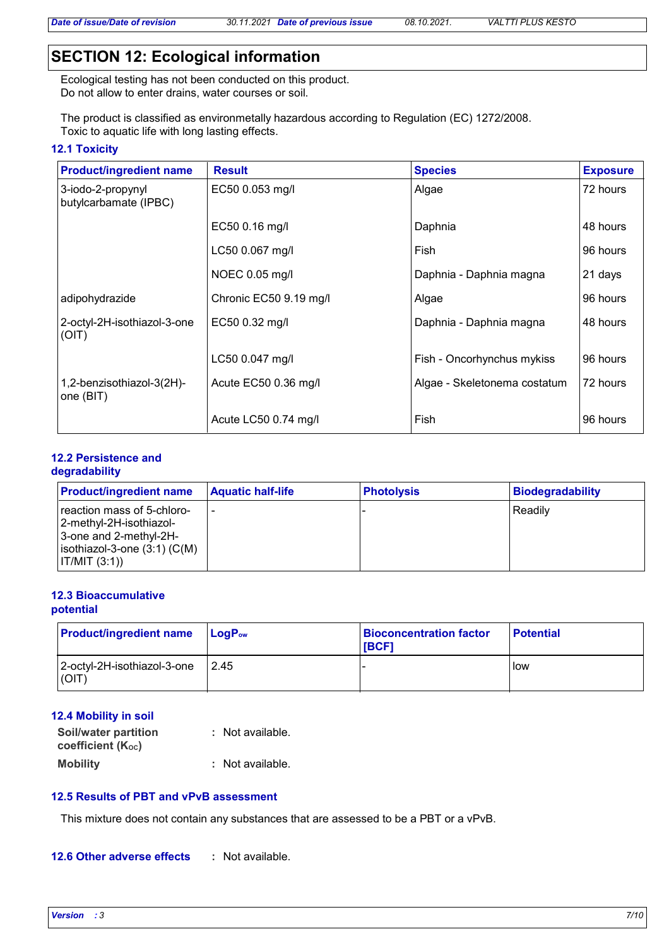## **SECTION 12: Ecological information**

Ecological testing has not been conducted on this product. Do not allow to enter drains, water courses or soil.

The product is classified as environmetally hazardous according to Regulation (EC) 1272/2008. Toxic to aquatic life with long lasting effects.

#### **12.1 Toxicity**

| <b>Product/ingredient name</b>             | <b>Result</b>          | <b>Species</b>               | <b>Exposure</b> |
|--------------------------------------------|------------------------|------------------------------|-----------------|
| 3-iodo-2-propynyl<br>butylcarbamate (IPBC) | EC50 0.053 mg/l        | Algae                        | 72 hours        |
|                                            | EC50 0.16 mg/l         | Daphnia                      | 48 hours        |
|                                            | LC50 0.067 mg/l        | Fish                         | 96 hours        |
|                                            | NOEC 0.05 mg/l         | Daphnia - Daphnia magna      | 21 days         |
| adipohydrazide                             | Chronic EC50 9.19 mg/l | Algae                        | 96 hours        |
| 2-octyl-2H-isothiazol-3-one<br>(OIT)       | EC50 0.32 mg/l         | Daphnia - Daphnia magna      | 48 hours        |
|                                            | LC50 0.047 mg/l        | Fish - Oncorhynchus mykiss   | 96 hours        |
| 1,2-benzisothiazol-3(2H)-<br>one (BIT)     | Acute EC50 0.36 mg/l   | Algae - Skeletonema costatum | 72 hours        |
|                                            | Acute LC50 0.74 mg/l   | Fish                         | 96 hours        |

## **12.2 Persistence and**

## **degradability**

| <b>Product/ingredient name</b>                                                                                                       | <b>Aquatic half-life</b> | <b>Photolysis</b> | <b>Biodegradability</b> |
|--------------------------------------------------------------------------------------------------------------------------------------|--------------------------|-------------------|-------------------------|
| reaction mass of 5-chloro-<br>2-methyl-2H-isothiazol-<br>3-one and 2-methyl-2H-<br>isothiazol-3-one $(3:1)$ $(C(M))$<br>IT/MIT (3:1) |                          |                   | Readily                 |

#### **12.3 Bioaccumulative potential**

| <b>Product/ingredient name</b>       | $\mathsf{LogP}_\mathsf{ow}$ | <b>Bioconcentration factor</b><br><b>IBCF1</b> | <b>Potential</b> |
|--------------------------------------|-----------------------------|------------------------------------------------|------------------|
| 2-octyl-2H-isothiazol-3-one<br>(OIT) | 2.45                        |                                                | low              |

## **12.4 Mobility in soil**

| Soil/water partition<br>coefficient (K <sub>oc</sub> ) | : Not available. |
|--------------------------------------------------------|------------------|
| <b>Mobility</b>                                        | : Not available. |

## **12.5 Results of PBT and vPvB assessment**

This mixture does not contain any substances that are assessed to be a PBT or a vPvB.

#### **12.6 Other adverse effects :**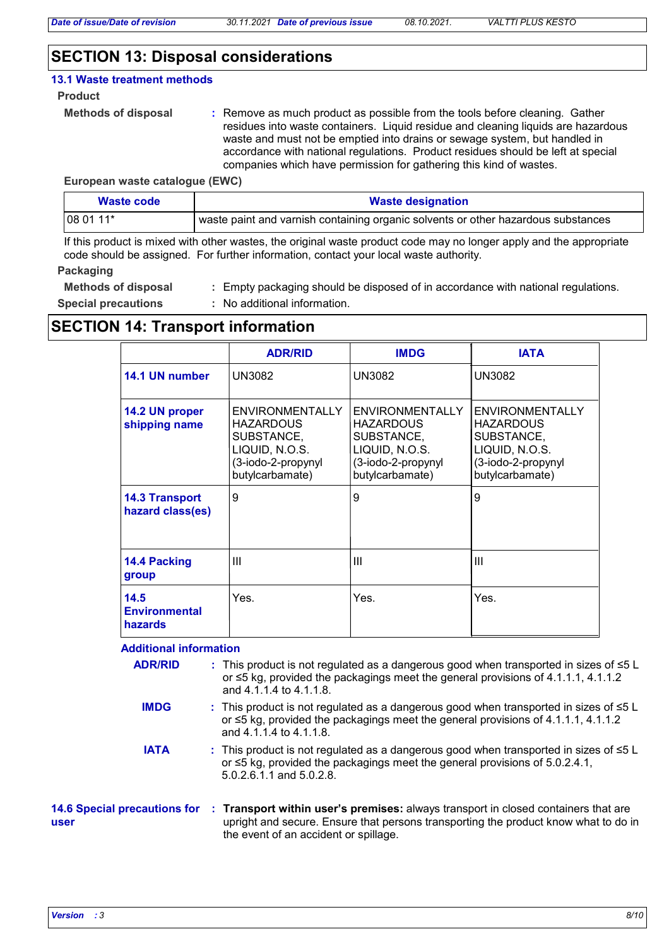## **SECTION 13: Disposal considerations**

#### **13.1 Waste treatment methods**

#### **Product**

```
Methods of disposal :
```
Remove as much product as possible from the tools before cleaning. Gather residues into waste containers. Liquid residue and cleaning liquids are hazardous waste and must not be emptied into drains or sewage system, but handled in accordance with national regulations. Product residues should be left at special companies which have permission for gathering this kind of wastes.

#### **European waste catalogue (EWC)**

| Waste code | <b>Waste designation</b>                                                          |
|------------|-----------------------------------------------------------------------------------|
| $1080111*$ | waste paint and varnish containing organic solvents or other hazardous substances |

If this product is mixed with other wastes, the original waste product code may no longer apply and the appropriate code should be assigned. For further information, contact your local waste authority.

#### **Packaging**

**Methods of disposal :**

Empty packaging should be disposed of in accordance with national regulations.

**Special precautions :** No additional information.

## **SECTION 14: Transport information**

|                                                | <b>ADR/RID</b>                                                                                               | <b>IMDG</b>                                                                                                         | <b>IATA</b>                                                                                                         |
|------------------------------------------------|--------------------------------------------------------------------------------------------------------------|---------------------------------------------------------------------------------------------------------------------|---------------------------------------------------------------------------------------------------------------------|
| 14.1 UN number                                 | <b>UN3082</b>                                                                                                | <b>UN3082</b>                                                                                                       | <b>UN3082</b>                                                                                                       |
| 14.2 UN proper<br>shipping name                | ENVIRONMENTALLY<br><b>HAZARDOUS</b><br>SUBSTANCE,<br>LIQUID, N.O.S.<br>(3-iodo-2-propynyl<br>butylcarbamate) | <b>ENVIRONMENTALLY</b><br><b>HAZARDOUS</b><br>SUBSTANCE,<br>LIQUID, N.O.S.<br>(3-iodo-2-propynyl<br>butylcarbamate) | <b>ENVIRONMENTALLY</b><br><b>HAZARDOUS</b><br>SUBSTANCE,<br>LIQUID, N.O.S.<br>(3-iodo-2-propynyl<br>butylcarbamate) |
| <b>14.3 Transport</b><br>hazard class(es)      | 9                                                                                                            | 9                                                                                                                   | 9                                                                                                                   |
| 14.4 Packing<br>group                          | Ш                                                                                                            | Ш                                                                                                                   | Ш                                                                                                                   |
| 14.5<br><b>Environmental</b><br><b>hazards</b> | Yes.                                                                                                         | Yes.                                                                                                                | Yes.                                                                                                                |

## **Additional information**

| <b>ADR/RID</b>                              | : This product is not regulated as a dangerous good when transported in sizes of ≤5 L<br>or $\leq$ 5 kg, provided the packagings meet the general provisions of 4.1.1.1, 4.1.1.2<br>and 4.1.1.4 to 4.1.1.8.        |
|---------------------------------------------|--------------------------------------------------------------------------------------------------------------------------------------------------------------------------------------------------------------------|
| <b>IMDG</b>                                 | : This product is not regulated as a dangerous good when transported in sizes of $\leq 5$ L<br>or $\leq$ 5 kg, provided the packagings meet the general provisions of 4.1.1.1, 4.1.1.2<br>and 4.1.1.4 to 4.1.1.8.  |
| <b>IATA</b>                                 | : This product is not regulated as a dangerous good when transported in sizes of $\leq 5$ L<br>or $\leq$ 5 kg, provided the packagings meet the general provisions of 5.0.2.4.1,<br>5.0.2.6.1.1 and 5.0.2.8.       |
| <b>14.6 Special precautions for</b><br>user | : Transport within user's premises: always transport in closed containers that are<br>upright and secure. Ensure that persons transporting the product know what to do in<br>the event of an accident or spillage. |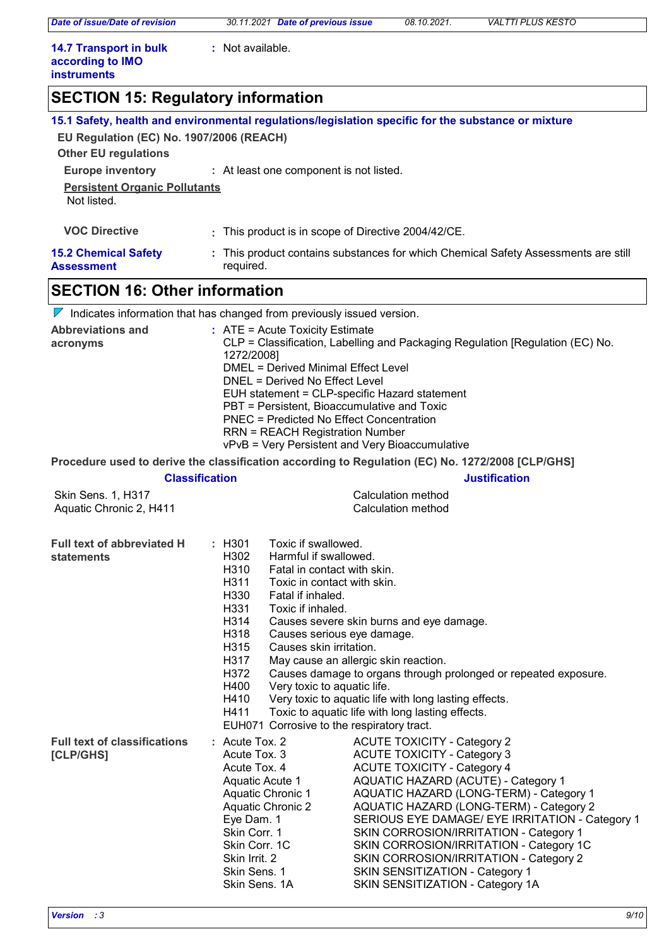*Date of issue/Date of revision 30.11.2021 Date of previous issue 08.10.2021. VALTTI PLUS KESTO*

**:** Not available.

| <b>14.7 Transport in bulk</b> |  |
|-------------------------------|--|
| according to IMO              |  |
| <b>instruments</b>            |  |

## **SECTION 15: Regulatory information**

|                                                                         |                                                                                                                                                                                                                                                                                                                                                                                                              | 15.1 Safety, health and environmental regulations/legislation specific for the substance or mixture                                                                                                                                                                                                                                                                                                                                                                                                  |
|-------------------------------------------------------------------------|--------------------------------------------------------------------------------------------------------------------------------------------------------------------------------------------------------------------------------------------------------------------------------------------------------------------------------------------------------------------------------------------------------------|------------------------------------------------------------------------------------------------------------------------------------------------------------------------------------------------------------------------------------------------------------------------------------------------------------------------------------------------------------------------------------------------------------------------------------------------------------------------------------------------------|
| EU Regulation (EC) No. 1907/2006 (REACH)<br><b>Other EU regulations</b> |                                                                                                                                                                                                                                                                                                                                                                                                              |                                                                                                                                                                                                                                                                                                                                                                                                                                                                                                      |
| <b>Europe inventory</b>                                                 | : At least one component is not listed.                                                                                                                                                                                                                                                                                                                                                                      |                                                                                                                                                                                                                                                                                                                                                                                                                                                                                                      |
| <b>Persistent Organic Pollutants</b>                                    |                                                                                                                                                                                                                                                                                                                                                                                                              |                                                                                                                                                                                                                                                                                                                                                                                                                                                                                                      |
| Not listed.                                                             |                                                                                                                                                                                                                                                                                                                                                                                                              |                                                                                                                                                                                                                                                                                                                                                                                                                                                                                                      |
| <b>VOC Directive</b>                                                    | : This product is in scope of Directive 2004/42/CE.                                                                                                                                                                                                                                                                                                                                                          |                                                                                                                                                                                                                                                                                                                                                                                                                                                                                                      |
| <b>15.2 Chemical Safety</b><br><b>Assessment</b>                        | required.                                                                                                                                                                                                                                                                                                                                                                                                    | : This product contains substances for which Chemical Safety Assessments are still                                                                                                                                                                                                                                                                                                                                                                                                                   |
| <b>SECTION 16: Other information</b>                                    |                                                                                                                                                                                                                                                                                                                                                                                                              |                                                                                                                                                                                                                                                                                                                                                                                                                                                                                                      |
|                                                                         | $\nabla$ Indicates information that has changed from previously issued version.                                                                                                                                                                                                                                                                                                                              |                                                                                                                                                                                                                                                                                                                                                                                                                                                                                                      |
| <b>Abbreviations and</b><br>acronyms                                    | $:$ ATE = Acute Toxicity Estimate<br>1272/2008]<br><b>DMEL = Derived Minimal Effect Level</b><br>DNEL = Derived No Effect Level<br>PBT = Persistent, Bioaccumulative and Toxic<br><b>PNEC = Predicted No Effect Concentration</b><br><b>RRN = REACH Registration Number</b>                                                                                                                                  | CLP = Classification, Labelling and Packaging Regulation [Regulation (EC) No.<br>EUH statement = CLP-specific Hazard statement<br>vPvB = Very Persistent and Very Bioaccumulative                                                                                                                                                                                                                                                                                                                    |
|                                                                         |                                                                                                                                                                                                                                                                                                                                                                                                              | Procedure used to derive the classification according to Regulation (EC) No. 1272/2008 [CLP/GHS]                                                                                                                                                                                                                                                                                                                                                                                                     |
|                                                                         | <b>Classification</b>                                                                                                                                                                                                                                                                                                                                                                                        | <b>Justification</b>                                                                                                                                                                                                                                                                                                                                                                                                                                                                                 |
| Skin Sens. 1, H317<br>Aquatic Chronic 2, H411                           |                                                                                                                                                                                                                                                                                                                                                                                                              | <b>Calculation method</b><br><b>Calculation method</b>                                                                                                                                                                                                                                                                                                                                                                                                                                               |
| Full text of abbreviated H<br>statements                                | Toxic if swallowed.<br>: H301<br>H302<br>Harmful if swallowed.<br>H310<br>Fatal in contact with skin.<br>H311<br>Toxic in contact with skin.<br>H330<br>Fatal if inhaled.<br>H331<br>Toxic if inhaled.<br>H314<br>H318<br>Causes serious eye damage.<br>H315<br>Causes skin irritation.<br>H317<br>H372<br>H400<br>Very toxic to aquatic life.<br>H410<br>H411<br>EUH071 Corrosive to the respiratory tract. | Causes severe skin burns and eye damage.<br>May cause an allergic skin reaction.<br>Causes damage to organs through prolonged or repeated exposure.<br>Very toxic to aquatic life with long lasting effects.<br>Toxic to aquatic life with long lasting effects.                                                                                                                                                                                                                                     |
| <b>Full text of classifications</b><br>[CLP/GHS]                        | $:$ Acute Tox. 2<br>Acute Tox. 3<br>Acute Tox. 4<br>Aquatic Acute 1<br>Aquatic Chronic 1<br><b>Aquatic Chronic 2</b><br>Eye Dam. 1<br>Skin Corr. 1<br>Skin Corr. 1C<br>Skin Irrit. 2<br>Skin Sens. 1<br>Skin Sens. 1A                                                                                                                                                                                        | <b>ACUTE TOXICITY - Category 2</b><br><b>ACUTE TOXICITY - Category 3</b><br><b>ACUTE TOXICITY - Category 4</b><br>AQUATIC HAZARD (ACUTE) - Category 1<br>AQUATIC HAZARD (LONG-TERM) - Category 1<br>AQUATIC HAZARD (LONG-TERM) - Category 2<br>SERIOUS EYE DAMAGE/ EYE IRRITATION - Category 1<br>SKIN CORROSION/IRRITATION - Category 1<br>SKIN CORROSION/IRRITATION - Category 1C<br>SKIN CORROSION/IRRITATION - Category 2<br>SKIN SENSITIZATION - Category 1<br>SKIN SENSITIZATION - Category 1A |